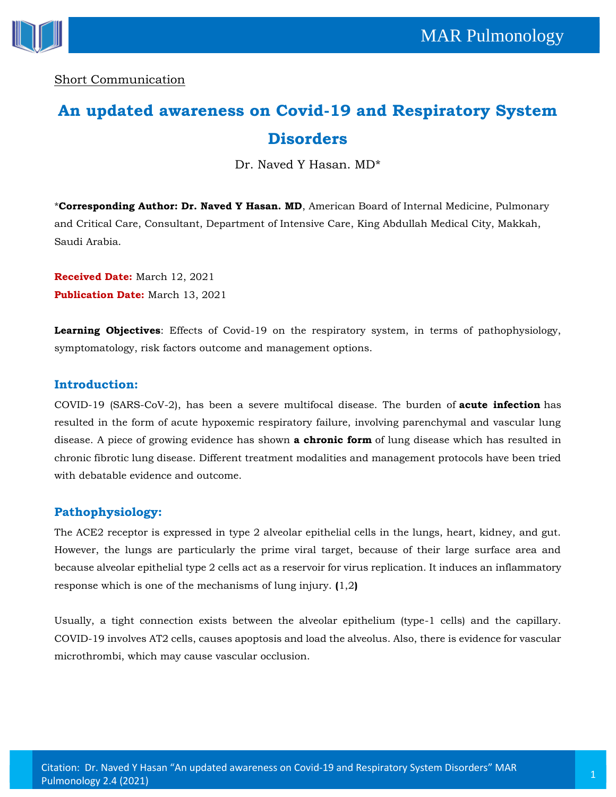

# Short Communication

# **An updated awareness on Covid-19 and Respiratory System Disorders**

Dr. Naved Y Hasan. MD\*

\***Corresponding Author: Dr. Naved Y Hasan. MD**, American Board of Internal Medicine, Pulmonary and Critical Care, Consultant, Department of Intensive Care, King Abdullah Medical City, Makkah, Saudi Arabia.

**Received Date:** March 12, 2021 **Publication Date:** March 13, 2021

**Learning Objectives**: Effects of Covid-19 on the respiratory system, in terms of pathophysiology, symptomatology, risk factors outcome and management options.

## **Introduction:**

COVID-19 (SARS-CoV-2), has been a severe multifocal disease. The burden of **acute infection** has resulted in the form of acute hypoxemic respiratory failure, involving parenchymal and vascular lung disease. A piece of growing evidence has shown **a chronic form** of lung disease which has resulted in chronic fibrotic lung disease. Different treatment modalities and management protocols have been tried with debatable evidence and outcome.

## **Pathophysiology:**

The ACE2 receptor is expressed in type 2 alveolar epithelial cells in the lungs, heart, kidney, and gut. However, the lungs are particularly the prime viral target, because of their large surface area and because alveolar epithelial type 2 cells act as a reservoir for virus replication. It induces an inflammatory response which is one of the mechanisms of lung injury. **(**1,2**)**

Usually, a tight connection exists between the alveolar epithelium (type-1 cells) and the capillary. COVID-19 involves AT2 cells, causes apoptosis and load the alveolus. Also, there is evidence for vascular microthrombi, which may cause vascular occlusion.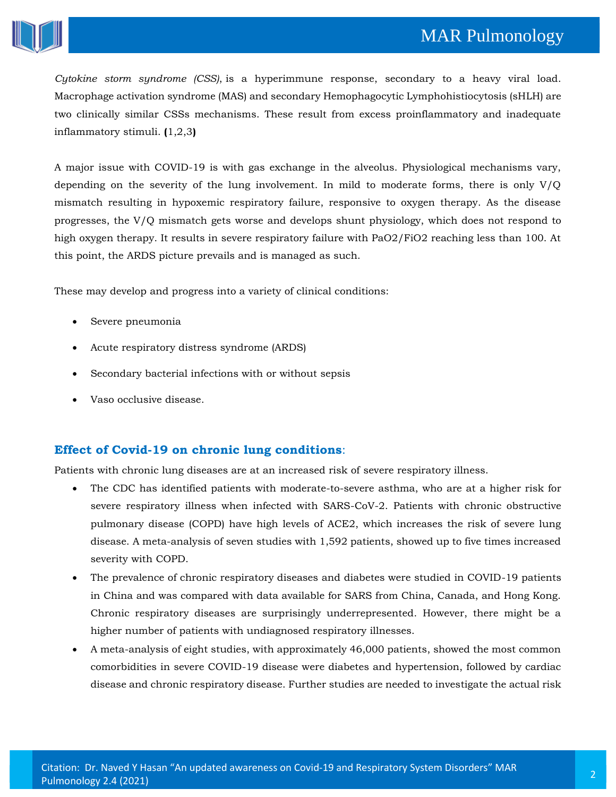

*Cytokine storm syndrome (CSS)*, is a hyperimmune response, secondary to a heavy viral load. Macrophage activation syndrome (MAS) and secondary Hemophagocytic Lymphohistiocytosis (sHLH) are two clinically similar CSSs mechanisms. These result from excess proinflammatory and inadequate inflammatory stimuli. **(**1,2,3**)**

A major issue with COVID-19 is with gas exchange in the alveolus. Physiological mechanisms vary, depending on the severity of the lung involvement. In mild to moderate forms, there is only  $V/Q$ mismatch resulting in hypoxemic respiratory failure, responsive to oxygen therapy. As the disease progresses, the V/Q mismatch gets worse and develops shunt physiology, which does not respond to high oxygen therapy. It results in severe respiratory failure with PaO2/FiO2 reaching less than 100. At this point, the ARDS picture prevails and is managed as such.

These may develop and progress into a variety of clinical conditions:

- Severe pneumonia
- Acute respiratory distress syndrome (ARDS)
- Secondary bacterial infections with or without sepsis
- Vaso occlusive disease.

# **Effect of Covid-19 on chronic lung conditions**:

Patients with chronic lung diseases are at an increased risk of severe respiratory illness.

- The CDC has identified patients with moderate-to-severe asthma, who are at a higher risk for severe respiratory illness when infected with SARS-CoV-2. Patients with chronic obstructive pulmonary disease (COPD) have high levels of ACE2, which increases the risk of severe lung disease. A meta-analysis of seven studies with 1,592 patients, showed up to five times increased severity with COPD.
- The prevalence of chronic respiratory diseases and diabetes were studied in COVID-19 patients in China and was compared with data available for SARS from China, Canada, and Hong Kong. Chronic respiratory diseases are surprisingly underrepresented. However, there might be a higher number of patients with undiagnosed respiratory illnesses.
- A meta-analysis of eight studies, with approximately 46,000 patients, showed the most common comorbidities in severe COVID-19 disease were diabetes and hypertension, followed by cardiac disease and chronic respiratory disease. Further studies are needed to investigate the actual risk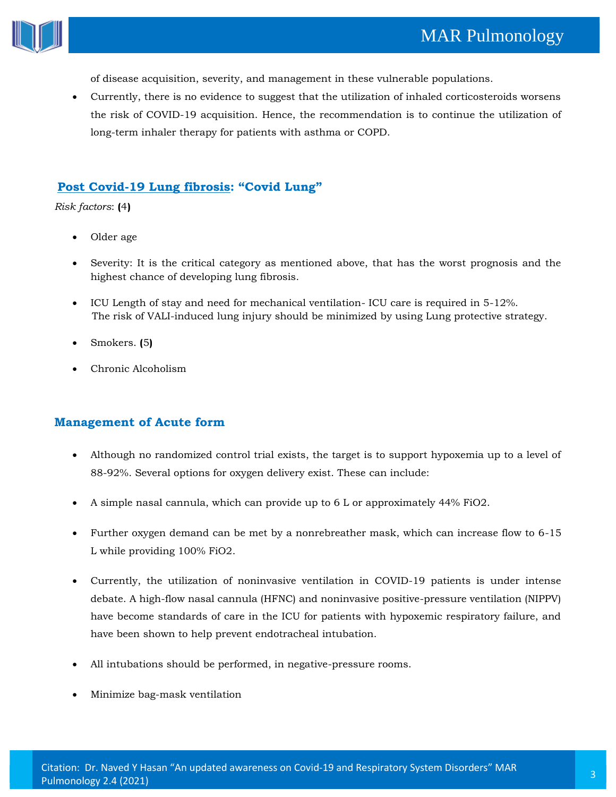

of disease acquisition, severity, and management in these vulnerable populations.

• Currently, there is no evidence to suggest that the utilization of inhaled corticosteroids worsens the risk of COVID-19 acquisition. Hence, the recommendation is to continue the utilization of long-term inhaler therapy for patients with asthma or COPD.

# **Post Covid-19 Lung fibrosis: "Covid Lung"**

#### *Risk factors*: **(**4**)**

- Older age
- Severity: It is the critical category as mentioned above, that has the worst prognosis and the highest chance of developing lung fibrosis.
- ICU Length of stay and need for mechanical ventilation- ICU care is required in 5-12%. The risk of VALI-induced lung injury should be minimized by using Lung protective strategy.
- Smokers. **(**5**)**
- Chronic Alcoholism

## **Management of Acute form**

- Although no randomized control trial exists, the target is to support hypoxemia up to a level of 88-92%. Several options for oxygen delivery exist. These can include:
- A simple nasal cannula, which can provide up to 6 L or approximately 44% FiO2.
- Further oxygen demand can be met by a nonrebreather mask, which can increase flow to 6-15 L while providing 100% FiO2.
- Currently, the utilization of noninvasive ventilation in COVID-19 patients is under intense debate. A high-flow nasal cannula (HFNC) and noninvasive positive-pressure ventilation (NIPPV) have become standards of care in the ICU for patients with hypoxemic respiratory failure, and have been shown to help prevent endotracheal intubation.
- All intubations should be performed, in negative-pressure rooms.
- Minimize bag-mask ventilation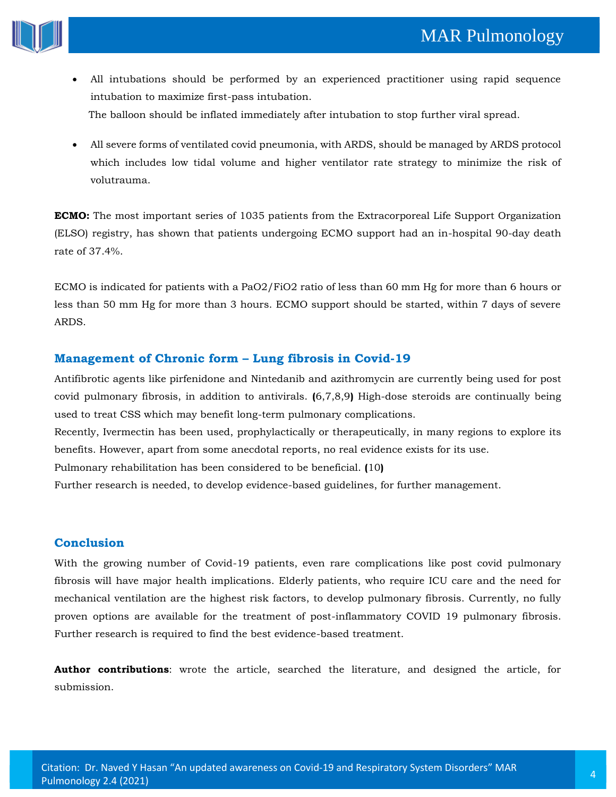

• All intubations should be performed by an experienced practitioner using rapid sequence intubation to maximize first-pass intubation.

The balloon should be inflated immediately after intubation to stop further viral spread.

• All severe forms of ventilated covid pneumonia, with ARDS, should be managed by ARDS protocol which includes low tidal volume and higher ventilator rate strategy to minimize the risk of volutrauma.

**ECMO:** The most important series of 1035 patients from the Extracorporeal Life Support Organization (ELSO) registry, has shown that patients undergoing ECMO support had an in-hospital 90-day death rate of 37.4%.

ECMO is indicated for patients with a PaO2/FiO2 ratio of less than 60 mm Hg for more than 6 hours or less than 50 mm Hg for more than 3 hours. ECMO support should be started, within 7 days of severe ARDS.

# **Management of Chronic form – Lung fibrosis in Covid-19**

Antifibrotic agents like pirfenidone and Nintedanib and azithromycin are currently being used for post covid pulmonary fibrosis, in addition to antivirals. **(**6,7,8,9**)** High-dose steroids are continually being used to treat CSS which may benefit long-term pulmonary complications.

Recently, Ivermectin has been used, prophylactically or therapeutically, in many regions to explore its benefits. However, apart from some anecdotal reports, no real evidence exists for its use.

Pulmonary rehabilitation has been considered to be beneficial. **(**10**)**

Further research is needed, to develop evidence-based guidelines, for further management.

## **Conclusion**

With the growing number of Covid-19 patients, even rare complications like post covid pulmonary fibrosis will have major health implications. Elderly patients, who require ICU care and the need for mechanical ventilation are the highest risk factors, to develop pulmonary fibrosis. Currently, no fully proven options are available for the treatment of post-inflammatory COVID 19 pulmonary fibrosis. Further research is required to find the best evidence-based treatment.

**Author contributions**: wrote the article, searched the literature, and designed the article, for submission.